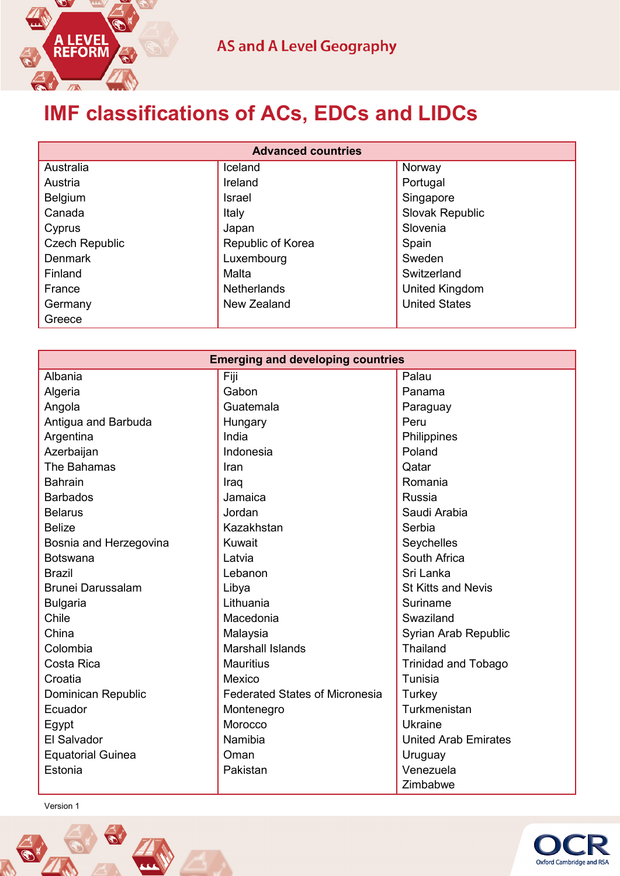

## **IMF classifications of ACs, EDCs and LIDCs**

| <b>Advanced countries</b> |                    |                      |  |  |
|---------------------------|--------------------|----------------------|--|--|
| Australia                 | Iceland            | Norway               |  |  |
| Austria                   | Ireland            | Portugal             |  |  |
| Belgium                   | <b>Israel</b>      | Singapore            |  |  |
| Canada                    | Italy              | Slovak Republic      |  |  |
| Cyprus                    | Japan              | Slovenia             |  |  |
| <b>Czech Republic</b>     | Republic of Korea  | Spain                |  |  |
| <b>Denmark</b>            | Luxembourg         | Sweden               |  |  |
| Finland                   | Malta              | Switzerland          |  |  |
| France                    | <b>Netherlands</b> | United Kingdom       |  |  |
| Germany                   | New Zealand        | <b>United States</b> |  |  |
| Greece                    |                    |                      |  |  |

| <b>Emerging and developing countries</b> |                                       |                             |  |  |
|------------------------------------------|---------------------------------------|-----------------------------|--|--|
| Albania                                  | Fiji                                  | Palau                       |  |  |
| Algeria                                  | Gabon                                 | Panama                      |  |  |
| Angola                                   | Guatemala                             | Paraguay                    |  |  |
| Antigua and Barbuda                      | Hungary                               | Peru                        |  |  |
| Argentina                                | India                                 | Philippines                 |  |  |
| Azerbaijan                               | Indonesia                             | Poland                      |  |  |
| The Bahamas                              | Iran                                  | Qatar                       |  |  |
| <b>Bahrain</b>                           | Iraq                                  | Romania                     |  |  |
| <b>Barbados</b>                          | Jamaica                               | Russia                      |  |  |
| <b>Belarus</b>                           | Jordan                                | Saudi Arabia                |  |  |
| <b>Belize</b>                            | Kazakhstan                            | Serbia                      |  |  |
| Bosnia and Herzegovina                   | Kuwait                                | Seychelles                  |  |  |
| <b>Botswana</b>                          | Latvia                                | South Africa                |  |  |
| <b>Brazil</b>                            | Lebanon                               | Sri Lanka                   |  |  |
| <b>Brunei Darussalam</b>                 | Libya                                 | <b>St Kitts and Nevis</b>   |  |  |
| <b>Bulgaria</b>                          | Lithuania                             | Suriname                    |  |  |
| Chile                                    | Macedonia                             | Swaziland                   |  |  |
| China                                    | Malaysia                              | Syrian Arab Republic        |  |  |
| Colombia                                 | <b>Marshall Islands</b>               | Thailand                    |  |  |
| Costa Rica                               | <b>Mauritius</b>                      | <b>Trinidad and Tobago</b>  |  |  |
| Croatia                                  | Mexico                                | Tunisia                     |  |  |
| Dominican Republic                       | <b>Federated States of Micronesia</b> | Turkey                      |  |  |
| Ecuador                                  | Montenegro                            | Turkmenistan                |  |  |
| Egypt                                    | Morocco                               | <b>Ukraine</b>              |  |  |
| El Salvador                              | Namibia                               | <b>United Arab Emirates</b> |  |  |
| <b>Equatorial Guinea</b>                 | Oman                                  | Uruguay                     |  |  |
| Estonia                                  | Pakistan                              | Venezuela                   |  |  |
|                                          |                                       | Zimbabwe                    |  |  |

Version 1